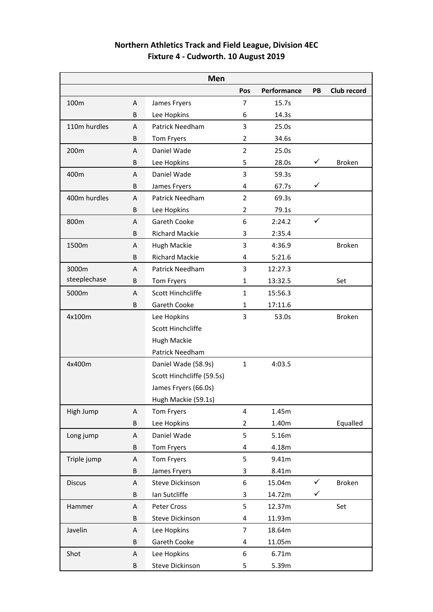## **Northern Athletics Track and Field League, Division 4EC Fixture 4 - Cudworth. 10 August 2019**

| Men           |   |                           |                |                |              |               |
|---------------|---|---------------------------|----------------|----------------|--------------|---------------|
|               |   |                           | Pos            | Performance    | PB           | Club record   |
| 100m          | A | James Fryers              | $\overline{7}$ | 15.7s          |              |               |
|               | B | Lee Hopkins               | 6              | 14.3s          |              |               |
| 110m hurdles  | A | Patrick Needham           | 3              | 25.0s          |              |               |
|               | B | Tom Fryers                | 2              | 34.6s          |              |               |
| 200m          | A | Daniel Wade               | $\overline{2}$ | 25.0s          |              |               |
|               | B | Lee Hopkins               | 5              | 28.0s          | ✓            | <b>Broken</b> |
| 400m          | A | Daniel Wade               | 3              | 59.3s          |              |               |
|               | B | James Fryers              | 4              | 67.7s          | ✓            |               |
| 400m hurdles  | A | <b>Patrick Needham</b>    | 2              | 69.3s          |              |               |
|               | B | Lee Hopkins               | $\overline{2}$ | 79.1s          |              |               |
| 800m          | A | Gareth Cooke              | 6              | 2:24.2         | ✓            |               |
|               | B | <b>Richard Mackie</b>     | 3              | 2:35.4         |              |               |
| 1500m         | A | Hugh Mackie               | 3              | 4:36.9         |              | <b>Broken</b> |
|               | B | <b>Richard Mackie</b>     | 4              | 5:21.6         |              |               |
| 3000m         | Α | Patrick Needham           | 3              | 12:27.3        |              |               |
| steeplechase  | B | Tom Fryers                | $\mathbf{1}$   | 13:32.5        |              | Set           |
| 5000m         | A | Scott Hinchcliffe         | $\mathbf{1}$   | 15:56.3        |              |               |
|               | B | Gareth Cooke              | 1              | 17:11.6        |              |               |
| 4x100m        |   | Lee Hopkins               | 3              | 53.0s          |              | <b>Broken</b> |
|               |   | Scott Hinchcliffe         |                |                |              |               |
|               |   | Hugh Mackie               |                |                |              |               |
|               |   | Patrick Needham           |                |                |              |               |
| 4x400m        |   | Daniel Wade (58.9s)       | $\mathbf{1}$   | 4:03.5         |              |               |
|               |   | Scott Hinchcliffe (59.5s) |                |                |              |               |
|               |   | James Fryers (66.0s)      |                |                |              |               |
|               |   |                           |                |                |              |               |
|               |   | Hugh Mackie (59.1s)       | 4              |                |              |               |
| High Jump     | A | Tom Fryers<br>Lee Hopkins | $\overline{2}$ | 1.45m<br>1.40m |              |               |
|               | B |                           |                |                |              | Equalled      |
| Long jump     | Α | Daniel Wade               | 5              | 5.16m          |              |               |
|               | B | Tom Fryers                | 4              | 4.18m          |              |               |
| Triple jump   | A | Tom Fryers                | 5              | 9.41m          |              |               |
|               | B | James Fryers              | 3              | 8.41m          |              |               |
| <b>Discus</b> | Α | <b>Steve Dickinson</b>    | 6              | 15.04m         | $\checkmark$ | Broken        |
| Hammer        | B | Ian Sutcliffe             | 3              | 14.72m         | ✓            |               |
|               | A | Peter Cross               | 5              | 12.37m         |              | Set           |
| Javelin       | B | Steve Dickinson           | 4              | 11.93m         |              |               |
|               | Α | Lee Hopkins               | $\overline{7}$ | 18.64m         |              |               |
|               | B | Gareth Cooke              | 4              | 11.05m         |              |               |
| Shot          | A | Lee Hopkins               | 6              | 6.71m          |              |               |
|               | B | Steve Dickinson           | 5              | 5.39m          |              |               |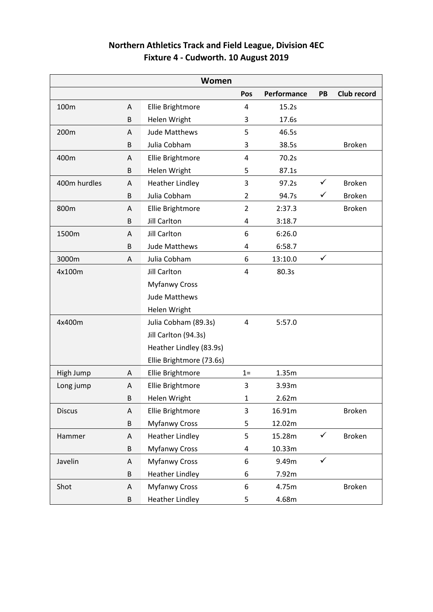| <b>Northern Athletics Track and Field League, Division 4EC</b> |  |
|----------------------------------------------------------------|--|
| Fixture 4 - Cudworth. 10 August 2019                           |  |

|               |   | Women                    |                |             |              |               |
|---------------|---|--------------------------|----------------|-------------|--------------|---------------|
|               |   |                          | Pos            | Performance | PB           | Club record   |
| 100m          | A | Ellie Brightmore         | 4              | 15.2s       |              |               |
|               | B | Helen Wright             | 3              | 17.6s       |              |               |
| 200m          | Α | <b>Jude Matthews</b>     | 5              | 46.5s       |              |               |
|               | B | Julia Cobham             | 3              | 38.5s       |              | <b>Broken</b> |
| 400m          | Α | Ellie Brightmore         | 4              | 70.2s       |              |               |
|               | B | Helen Wright             | 5              | 87.1s       |              |               |
| 400m hurdles  | A | <b>Heather Lindley</b>   | 3              | 97.2s       | ✓            | <b>Broken</b> |
|               | B | Julia Cobham             | $\overline{2}$ | 94.7s       | ✓            | <b>Broken</b> |
| 800m          | Α | Ellie Brightmore         | $\overline{2}$ | 2:37.3      |              | <b>Broken</b> |
|               | B | <b>Jill Carlton</b>      | 4              | 3:18.7      |              |               |
| 1500m         | Α | <b>Jill Carlton</b>      | 6              | 6:26.0      |              |               |
|               | B | <b>Jude Matthews</b>     | 4              | 6:58.7      |              |               |
| 3000m         | A | Julia Cobham             | 6              | 13:10.0     | $\checkmark$ |               |
| 4x100m        |   | <b>Jill Carlton</b>      | 4              | 80.3s       |              |               |
|               |   | <b>Myfanwy Cross</b>     |                |             |              |               |
|               |   | <b>Jude Matthews</b>     |                |             |              |               |
|               |   | Helen Wright             |                |             |              |               |
| 4x400m        |   | Julia Cobham (89.3s)     | 4              | 5:57.0      |              |               |
|               |   | Jill Carlton (94.3s)     |                |             |              |               |
|               |   | Heather Lindley (83.9s)  |                |             |              |               |
|               |   | Ellie Brightmore (73.6s) |                |             |              |               |
| High Jump     | Α | Ellie Brightmore         | $1=$           | 1.35m       |              |               |
| Long jump     | A | Ellie Brightmore         | 3              | 3.93m       |              |               |
|               | B | Helen Wright             | $\mathbf{1}$   | 2.62m       |              |               |
| <b>Discus</b> | Α | Ellie Brightmore         | 3              | 16.91m      |              | <b>Broken</b> |
|               | B | <b>Myfanwy Cross</b>     | 5              | 12.02m      |              |               |
| Hammer        | Α | <b>Heather Lindley</b>   | 5              | 15.28m      | $\checkmark$ | <b>Broken</b> |
|               | B | <b>Myfanwy Cross</b>     | 4              | 10.33m      |              |               |
| Javelin       | A | <b>Myfanwy Cross</b>     | 6              | 9.49m       | $\checkmark$ |               |
|               | B | <b>Heather Lindley</b>   | 6              | 7.92m       |              |               |
| Shot          | Α | <b>Myfanwy Cross</b>     | 6              | 4.75m       |              | <b>Broken</b> |
|               | B | <b>Heather Lindley</b>   | 5              | 4.68m       |              |               |